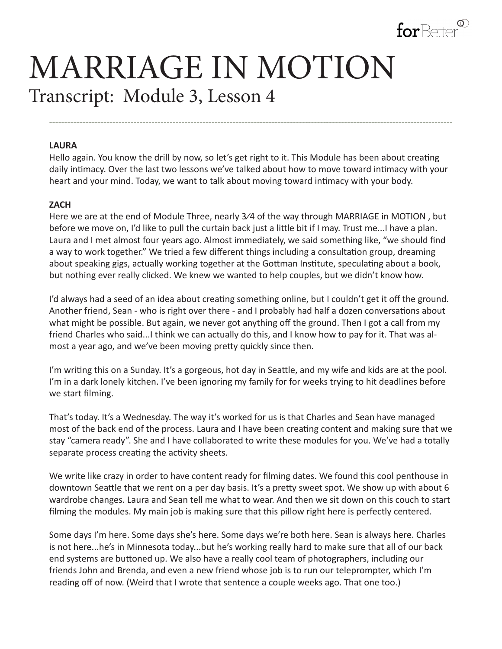

# MARRIAGE IN MOTION Transcript: Module 3, Lesson 4

#### **LAURA**

Hello again. You know the drill by now, so let's get right to it. This Module has been about creating daily intimacy. Over the last two lessons we've talked about how to move toward intimacy with your heart and your mind. Today, we want to talk about moving toward intimacy with your body.

--------------------------------------------------------------------------------------------------------------------------------------

#### **ZACH**

Here we are at the end of Module Three, nearly 3⁄4 of the way through MARRIAGE in MOTION , but before we move on, I'd like to pull the curtain back just a little bit if I may. Trust me...I have a plan. Laura and I met almost four years ago. Almost immediately, we said something like, "we should find a way to work together." We tried a few different things including a consultation group, dreaming about speaking gigs, actually working together at the Gottman Institute, speculating about a book, but nothing ever really clicked. We knew we wanted to help couples, but we didn't know how.

I'd always had a seed of an idea about creating something online, but I couldn't get it off the ground. Another friend, Sean - who is right over there - and I probably had half a dozen conversations about what might be possible. But again, we never got anything off the ground. Then I got a call from my friend Charles who said...I think we can actually do this, and I know how to pay for it. That was almost a year ago, and we've been moving pretty quickly since then.

I'm writing this on a Sunday. It's a gorgeous, hot day in Seattle, and my wife and kids are at the pool. I'm in a dark lonely kitchen. I've been ignoring my family for for weeks trying to hit deadlines before we start filming.

That's today. It's a Wednesday. The way it's worked for us is that Charles and Sean have managed most of the back end of the process. Laura and I have been creating content and making sure that we stay "camera ready". She and I have collaborated to write these modules for you. We've had a totally separate process creating the activity sheets.

We write like crazy in order to have content ready for filming dates. We found this cool penthouse in downtown Seattle that we rent on a per day basis. It's a pretty sweet spot. We show up with about 6 wardrobe changes. Laura and Sean tell me what to wear. And then we sit down on this couch to start filming the modules. My main job is making sure that this pillow right here is perfectly centered.

Some days I'm here. Some days she's here. Some days we're both here. Sean is always here. Charles is not here...he's in Minnesota today...but he's working really hard to make sure that all of our back end systems are buttoned up. We also have a really cool team of photographers, including our friends John and Brenda, and even a new friend whose job is to run our teleprompter, which I'm reading off of now. (Weird that I wrote that sentence a couple weeks ago. That one too.)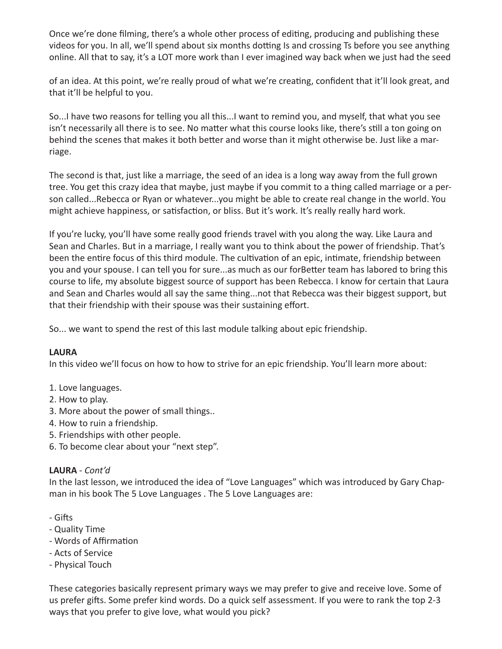Once we're done filming, there's a whole other process of editing, producing and publishing these videos for you. In all, we'll spend about six months dotting Is and crossing Ts before you see anything online. All that to say, it's a LOT more work than I ever imagined way back when we just had the seed

of an idea. At this point, we're really proud of what we're creating, confident that it'll look great, and that it'll be helpful to you.

So...I have two reasons for telling you all this...I want to remind you, and myself, that what you see isn't necessarily all there is to see. No matter what this course looks like, there's still a ton going on behind the scenes that makes it both better and worse than it might otherwise be. Just like a marriage.

The second is that, just like a marriage, the seed of an idea is a long way away from the full grown tree. You get this crazy idea that maybe, just maybe if you commit to a thing called marriage or a person called...Rebecca or Ryan or whatever...you might be able to create real change in the world. You might achieve happiness, or satisfaction, or bliss. But it's work. It's really really hard work.

If you're lucky, you'll have some really good friends travel with you along the way. Like Laura and Sean and Charles. But in a marriage, I really want you to think about the power of friendship. That's been the entire focus of this third module. The cultivation of an epic, intimate, friendship between you and your spouse. I can tell you for sure...as much as our forBetter team has labored to bring this course to life, my absolute biggest source of support has been Rebecca. I know for certain that Laura and Sean and Charles would all say the same thing...not that Rebecca was their biggest support, but that their friendship with their spouse was their sustaining effort.

So... we want to spend the rest of this last module talking about epic friendship.

## **LAURA**

In this video we'll focus on how to how to strive for an epic friendship. You'll learn more about:

- 1. Love languages.
- 2. How to play.
- 3. More about the power of small things..
- 4. How to ruin a friendship.
- 5. Friendships with other people.
- 6. To become clear about your "next step".

## **LAURA** - *Cont'd*

In the last lesson, we introduced the idea of "Love Languages" which was introduced by Gary Chapman in his book The 5 Love Languages . The 5 Love Languages are:

- Gifts
- Quality Time
- Words of Affirmation
- Acts of Service
- Physical Touch

These categories basically represent primary ways we may prefer to give and receive love. Some of us prefer gifts. Some prefer kind words. Do a quick self assessment. If you were to rank the top 2-3 ways that you prefer to give love, what would you pick?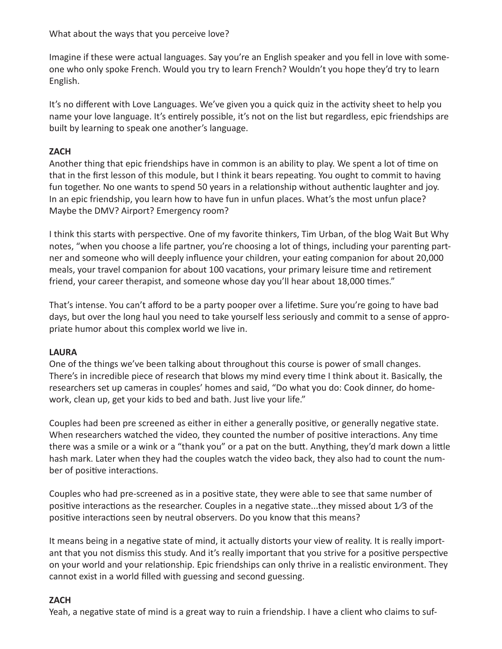What about the ways that you perceive love?

Imagine if these were actual languages. Say you're an English speaker and you fell in love with someone who only spoke French. Would you try to learn French? Wouldn't you hope they'd try to learn English.

It's no different with Love Languages. We've given you a quick quiz in the activity sheet to help you name your love language. It's entirely possible, it's not on the list but regardless, epic friendships are built by learning to speak one another's language.

# **ZACH**

Another thing that epic friendships have in common is an ability to play. We spent a lot of time on that in the first lesson of this module, but I think it bears repeating. You ought to commit to having fun together. No one wants to spend 50 years in a relationship without authentic laughter and joy. In an epic friendship, you learn how to have fun in unfun places. What's the most unfun place? Maybe the DMV? Airport? Emergency room?

I think this starts with perspective. One of my favorite thinkers, Tim Urban, of the blog Wait But Why notes, "when you choose a life partner, you're choosing a lot of things, including your parenting partner and someone who will deeply influence your children, your eating companion for about 20,000 meals, your travel companion for about 100 vacations, your primary leisure time and retirement friend, your career therapist, and someone whose day you'll hear about 18,000 times."

That's intense. You can't afford to be a party pooper over a lifetime. Sure you're going to have bad days, but over the long haul you need to take yourself less seriously and commit to a sense of appropriate humor about this complex world we live in.

# **LAURA**

One of the things we've been talking about throughout this course is power of small changes. There's in incredible piece of research that blows my mind every time I think about it. Basically, the researchers set up cameras in couples' homes and said, "Do what you do: Cook dinner, do homework, clean up, get your kids to bed and bath. Just live your life."

Couples had been pre screened as either in either a generally positive, or generally negative state. When researchers watched the video, they counted the number of positive interactions. Any time there was a smile or a wink or a "thank you" or a pat on the butt. Anything, they'd mark down a little hash mark. Later when they had the couples watch the video back, they also had to count the number of positive interactions.

Couples who had pre-screened as in a positive state, they were able to see that same number of positive interactions as the researcher. Couples in a negative state...they missed about  $1/3$  of the positive interactions seen by neutral observers. Do you know that this means?

It means being in a negative state of mind, it actually distorts your view of reality. It is really important that you not dismiss this study. And it's really important that you strive for a positive perspective on your world and your relationship. Epic friendships can only thrive in a realistic environment. They cannot exist in a world filled with guessing and second guessing.

## **ZACH**

Yeah, a negative state of mind is a great way to ruin a friendship. I have a client who claims to suf-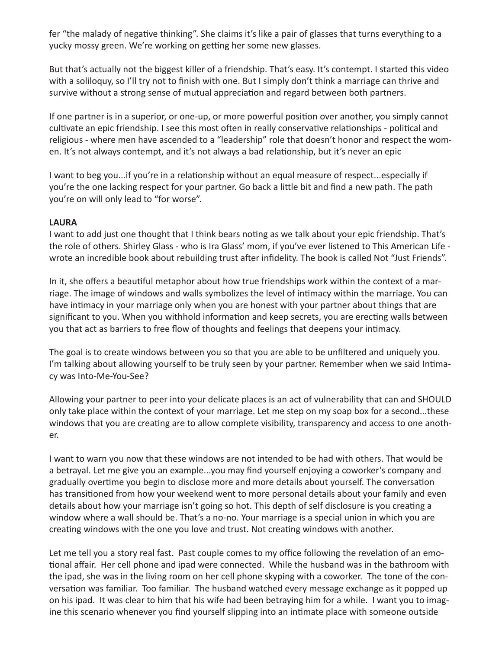fer "the malady of negative thinking". She claims it's like a pair of glasses that turns everything to a yucky mossy green. We're working on getting her some new glasses.

But that's actually not the biggest killer of a friendship. That's easy. It's contempt. I started this video with a soliloquy, so I'll try not to finish with one. But I simply don't think a marriage can thrive and survive without a strong sense of mutual appreciation and regard between both partners.

If one partner is in a superior, or one-up, or more powerful position over another, you simply cannot cultivate an epic friendship. I see this most often in really conservative relationships - political and religious - where men have ascended to a "leadership" role that doesn't honor and respect the women. It's not always contempt, and it's not always a bad relationship, but it's never an epic

I want to beg you...if you're in a relationship without an equal measure of respect...especially if you're the one lacking respect for your partner. Go back a little bit and find a new path. The path you're on will only lead to "for worse".

#### **LAURA**

I want to add just one thought that I think bears noting as we talk about your epic friendship. That's the role of others. Shirley Glass - who is Ira Glass' mom, if you've ever listened to This American Life wrote an incredible book about rebuilding trust after infidelity. The book is called Not "Just Friends".

In it, she offers a beautiful metaphor about how true friendships work within the context of a marriage. The image of windows and walls symbolizes the level of intimacy within the marriage. You can have intimacy in your marriage only when you are honest with your partner about things that are significant to you. When you withhold information and keep secrets, you are erecting walls between you that act as barriers to free flow of thoughts and feelings that deepens your intimacy.

The goal is to create windows between you so that you are able to be unfiltered and uniquely you. I'm talking about allowing yourself to be truly seen by your partner. Remember when we said Intimacy was Into-Me-You-See?

Allowing your partner to peer into your delicate places is an act of vulnerability that can and SHOULD only take place within the context of your marriage. Let me step on my soap box for a second...these windows that you are creating are to allow complete visibility, transparency and access to one another.

I want to warn you now that these windows are not intended to be had with others. That would be a betrayal. Let me give you an example...you may find yourself enjoying a coworker's company and gradually overtime you begin to disclose more and more details about yourself. The conversation has transitioned from how your weekend went to more personal details about your family and even details about how your marriage isn't going so hot. This depth of self disclosure is you creating a window where a wall should be. That's a no-no. Your marriage is a special union in which you are creating windows with the one you love and trust. Not creating windows with another.

Let me tell you a story real fast. Past couple comes to my office following the revelation of an emotional affair. Her cell phone and ipad were connected. While the husband was in the bathroom with the ipad, she was in the living room on her cell phone skyping with a coworker. The tone of the conversation was familiar. Too familiar. The husband watched every message exchange as it popped up on his ipad. It was clear to him that his wife had been betraying him for a while. I want you to imagine this scenario whenever you find yourself slipping into an intimate place with someone outside